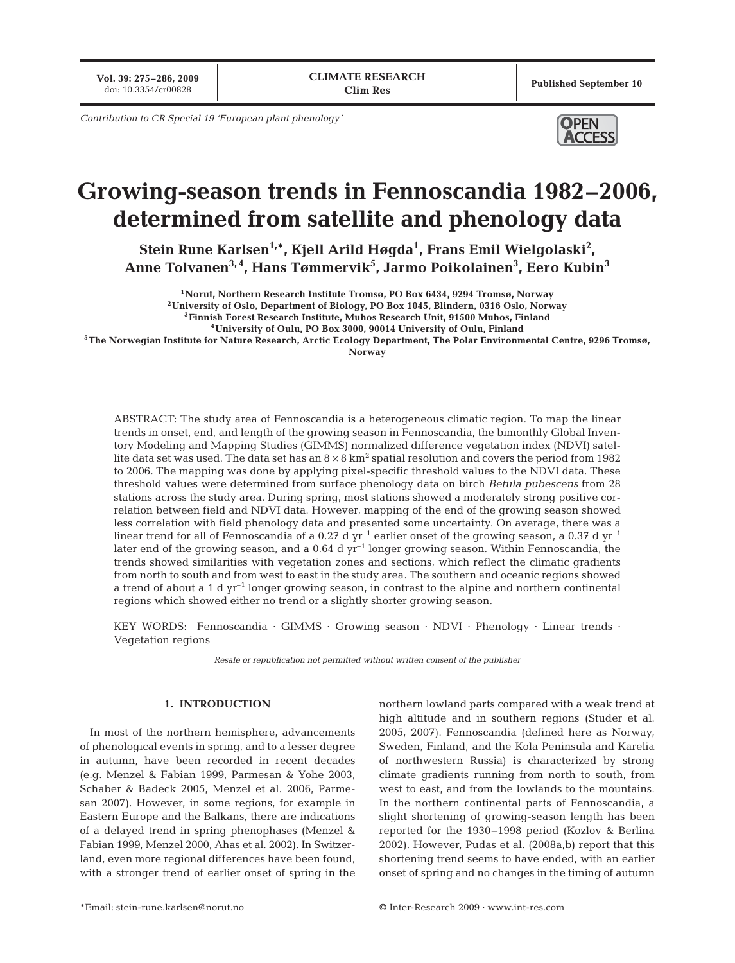**Vol. 39: 275–286, 2009**

Published September 10

*Contribution to CR Special 19 'European plant phenology'*



# **Growing-season trends in Fennoscandia 1982–2006, determined from satellite and phenology data**

**Stein Rune Karlsen1,\*, Kjell Arild Høgda1 , Frans Emil Wielgolaski2 , Anne Tolvanen3, 4, Hans Tømmervik5 , Jarmo Poikolainen3 , Eero Kubin3**

**1Norut, Northern Research Institute Tromsø, PO Box 6434, 9294 Tromsø, Norway**

**2University of Oslo, Department of Biology, PO Box 1045, Blindern, 0316 Oslo, Norway**

**3Finnish Forest Research Institute, Muhos Research Unit, 91500 Muhos, Finland 4University of Oulu, PO Box 3000, 90014 University of Oulu, Finland**

**5The Norwegian Institute for Nature Research, Arctic Ecology Department, The Polar Environmental Centre, 9296 Tromsø,**

**Norway**

ABSTRACT: The study area of Fennoscandia is a heterogeneous climatic region. To map the linear trends in onset, end, and length of the growing season in Fennoscandia, the bimonthly Global Inventory Modeling and Mapping Studies (GIMMS) normalized difference vegetation index (NDVI) satellite data set was used. The data set has an  $8 \times 8$  km<sup>2</sup> spatial resolution and covers the period from 1982 to 2006. The mapping was done by applying pixel-specific threshold values to the NDVI data. These threshold values were determined from surface phenology data on birch *Betula pubescens* from 28 stations across the study area. During spring, most stations showed a moderately strong positive correlation between field and NDVI data. However, mapping of the end of the growing season showed less correlation with field phenology data and presented some uncertainty. On average, there was a linear trend for all of Fennoscandia of a 0.27 d  $yr^{-1}$  earlier onset of the growing season, a 0.37 d  $yr^{-1}$ later end of the growing season, and a 0.64 d yr<sup>-1</sup> longer growing season. Within Fennoscandia, the trends showed similarities with vegetation zones and sections, which reflect the climatic gradients from north to south and from west to east in the study area. The southern and oceanic regions showed a trend of about a 1 d  $yr^{-1}$  longer growing season, in contrast to the alpine and northern continental regions which showed either no trend or a slightly shorter growing season.

KEY WORDS: Fennoscandia · GIMMS · Growing season · NDVI · Phenology · Linear trends · Vegetation regions

*Resale or republication not permitted without written consent of the publisher*

# **1. INTRODUCTION**

In most of the northern hemisphere, advancements of phenological events in spring, and to a lesser degree in autumn, have been recorded in recent decades (e.g. Menzel & Fabian 1999, Parmesan & Yohe 2003, Schaber & Badeck 2005, Menzel et al. 2006, Parmesan 2007). However, in some regions, for example in Eastern Europe and the Balkans, there are indications of a delayed trend in spring phenophases (Menzel & Fabian 1999, Menzel 2000, Ahas et al. 2002). In Switzerland, even more regional differences have been found, with a stronger trend of earlier onset of spring in the

northern lowland parts compared with a weak trend at high altitude and in southern regions (Studer et al. 2005, 2007). Fennoscandia (defined here as Norway, Sweden, Finland, and the Kola Peninsula and Karelia of northwestern Russia) is characterized by strong climate gradients running from north to south, from west to east, and from the lowlands to the mountains. In the northern continental parts of Fennoscandia, a slight shortening of growing-season length has been reported for the 1930–1998 period (Kozlov & Berlina 2002). However, Pudas et al. (2008a,b) report that this shortening trend seems to have ended, with an earlier onset of spring and no changes in the timing of autumn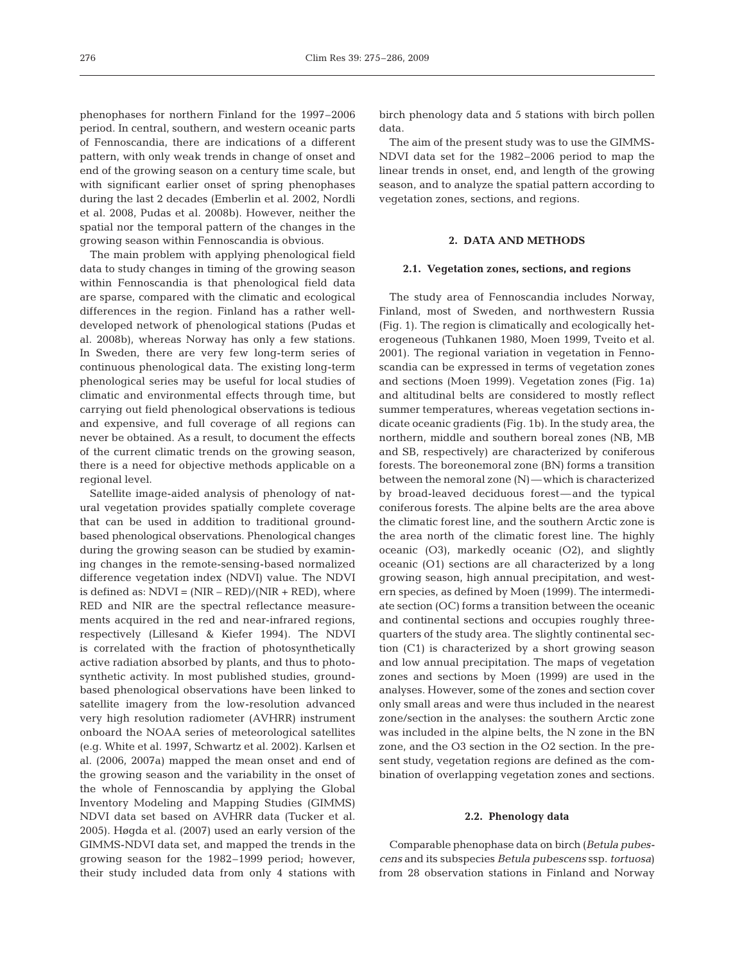phenophases for northern Finland for the 1997–2006 period. In central, southern, and western oceanic parts of Fennoscandia, there are indications of a different pattern, with only weak trends in change of onset and end of the growing season on a century time scale, but with significant earlier onset of spring phenophases during the last 2 decades (Emberlin et al. 2002, Nordli et al. 2008, Pudas et al. 2008b). However, neither the spatial nor the temporal pattern of the changes in the growing season within Fennoscandia is obvious.

The main problem with applying phenological field data to study changes in timing of the growing season within Fennoscandia is that phenological field data are sparse, compared with the climatic and ecological differences in the region. Finland has a rather welldeveloped network of phenological stations (Pudas et al. 2008b), whereas Norway has only a few stations. In Sweden, there are very few long-term series of continuous phenological data. The existing long-term phenological series may be useful for local studies of climatic and environmental effects through time, but carrying out field phenological observations is tedious and expensive, and full coverage of all regions can never be obtained. As a result, to document the effects of the current climatic trends on the growing season, there is a need for objective methods applicable on a regional level.

Satellite image-aided analysis of phenology of natural vegetation provides spatially complete coverage that can be used in addition to traditional groundbased phenological observations. Phenological changes during the growing season can be studied by examining changes in the remote-sensing-based normalized difference vegetation index (NDVI) value. The NDVI is defined as:  $NDVI = (NIR - RED)/(NIR + RED)$ , where RED and NIR are the spectral reflectance measurements acquired in the red and near-infrared regions, respectively (Lillesand & Kiefer 1994). The NDVI is correlated with the fraction of photosynthetically active radiation absorbed by plants, and thus to photosynthetic activity. In most published studies, groundbased phenological observations have been linked to satellite imagery from the low-resolution advanced very high resolution radiometer (AVHRR) instrument onboard the NOAA series of meteorological satellites (e.g. White et al. 1997, Schwartz et al. 2002). Karlsen et al. (2006, 2007a) mapped the mean onset and end of the growing season and the variability in the onset of the whole of Fennoscandia by applying the Global Inventory Modeling and Mapping Studies (GIMMS) NDVI data set based on AVHRR data (Tucker et al. 2005). Høgda et al. (2007) used an early version of the GIMMS-NDVI data set, and mapped the trends in the growing season for the 1982–1999 period; however, their study included data from only 4 stations with

birch phenology data and 5 stations with birch pollen data.

The aim of the present study was to use the GIMMS-NDVI data set for the 1982–2006 period to map the linear trends in onset, end, and length of the growing season, and to analyze the spatial pattern according to vegetation zones, sections, and regions.

# **2. DATA AND METHODS**

## **2.1. Vegetation zones, sections, and regions**

The study area of Fennoscandia includes Norway, Finland, most of Sweden, and northwestern Russia (Fig. 1). The region is climatically and ecologically heterogeneous (Tuhkanen 1980, Moen 1999, Tveito et al. 2001). The regional variation in vegetation in Fennoscandia can be expressed in terms of vegetation zones and sections (Moen 1999). Vegetation zones (Fig. 1a) and altitudinal belts are considered to mostly reflect summer temperatures, whereas vegetation sections indicate oceanic gradients (Fig. 1b). In the study area, the northern, middle and southern boreal zones (NB, MB and SB, respectively) are characterized by coniferous forests. The boreonemoral zone (BN) forms a transition between the nemoral zone (N)—which is characterized by broad-leaved deciduous forest—and the typical coniferous forests. The alpine belts are the area above the climatic forest line, and the southern Arctic zone is the area north of the climatic forest line. The highly oceanic (O3), markedly oceanic (O2), and slightly oceanic (O1) sections are all characterized by a long growing season, high annual precipitation, and western species, as defined by Moen (1999). The intermediate section (OC) forms a transition between the oceanic and continental sections and occupies roughly threequarters of the study area. The slightly continental section (C1) is characterized by a short growing season and low annual precipitation. The maps of vegetation zones and sections by Moen (1999) are used in the analyses. However, some of the zones and section cover only small areas and were thus included in the nearest zone/section in the analyses: the southern Arctic zone was included in the alpine belts, the N zone in the BN zone, and the O3 section in the O2 section. In the present study, vegetation regions are defined as the combination of overlapping vegetation zones and sections.

### **2.2. Phenology data**

Comparable phenophase data on birch (*Betula pubescens* and its subspecies *Betula pubescens* ssp. *tortuosa*) from 28 observation stations in Finland and Norway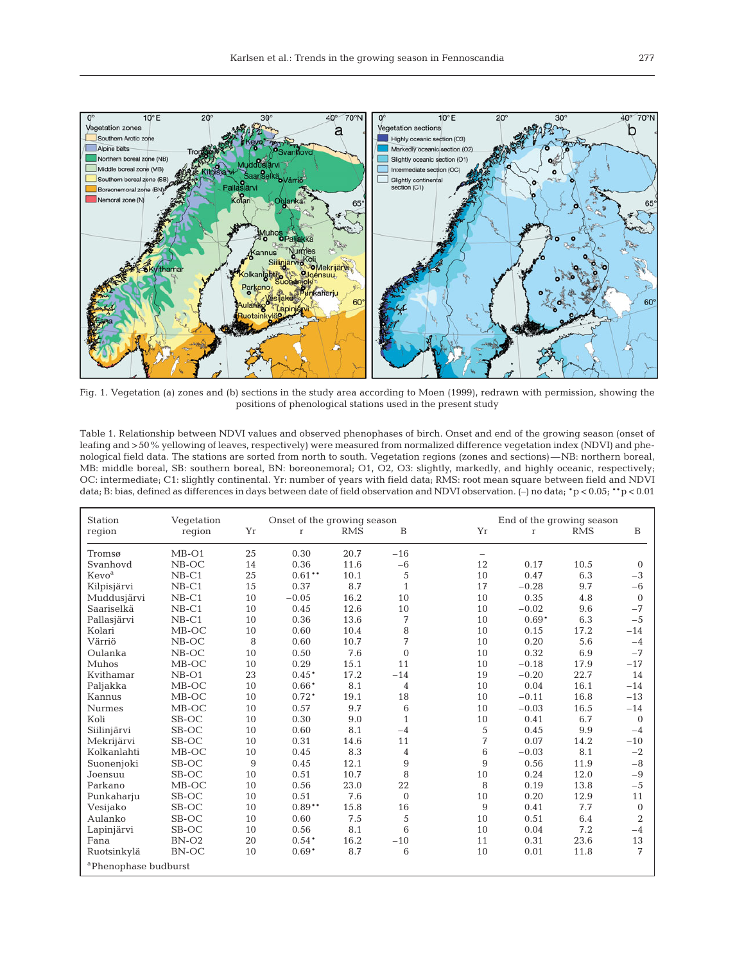

Fig. 1. Vegetation (a) zones and (b) sections in the study area according to Moen (1999), redrawn with permission, showing the positions of phenological stations used in the present study

Table 1. Relationship between NDVI values and observed phenophases of birch. Onset and end of the growing season (onset of leafing and >50% yellowing of leaves, respectively) were measured from normalized difference vegetation index (NDVI) and phenological field data. The stations are sorted from north to south. Vegetation regions (zones and sections)—NB: northern boreal, MB: middle boreal, SB: southern boreal, BN: boreonemoral; O1, O2, O3: slightly, markedly, and highly oceanic, respectively; OC: intermediate; C1: slightly continental. Yr: number of years with field data; RMS: root mean square between field and NDVI data; B: bias, defined as differences in days between date of field observation and NDVI observation. (–) no data; \*p < 0.05; \*\*p < 0.01

| Station                          | Vegetation |                | Onset of the growing season |            |                |                          | End of the growing season |            |                |  |
|----------------------------------|------------|----------------|-----------------------------|------------|----------------|--------------------------|---------------------------|------------|----------------|--|
| region                           | region     | Yr             | $\Gamma$                    | <b>RMS</b> | B              | Yr                       | $\mathbf{r}$              | <b>RMS</b> | B              |  |
| Tromsø                           | $MB-O1$    | 25             | 0.30                        | 20.7       | $-16$          | $\overline{\phantom{m}}$ |                           |            |                |  |
| Svanhovd                         | $NB-OC$    | 14             | 0.36                        | 11.6       | $-6$           | 12                       | 0.17                      | 10.5       | $\overline{0}$ |  |
| Kevo <sup>a</sup>                | $NB-C1$    | 25             | $0.61***$                   | 10.1       | 5              | 10                       | 0.47                      | 6.3        | $-3$           |  |
| Kilpisjärvi                      | $NB-C1$    | 15             | 0.37                        | 8.7        | $\mathbf{1}$   | 17                       | $-0.28$                   | 9.7        | $-6$           |  |
| Muddusjärvi                      | $NB-C1$    | 10             | $-0.05$                     | 16.2       | 10             | 10                       | 0.35                      | 4.8        | $\mathbf{0}$   |  |
| Saariselkä                       | $NB-C1$    | 10             | 0.45                        | 12.6       | 10             | 10                       | $-0.02$                   | 9.6        | $-7$           |  |
| Pallasjärvi                      | $NB-C1$    | 10             | 0.36                        | 13.6       | 7              | 10                       | $0.69*$                   | 6.3        | $-5$           |  |
| Kolari                           | $MB-OC$    | 10             | 0.60                        | 10.4       | 8              | 10                       | 0.15                      | 17.2       | $-14$          |  |
| Värriö                           | $NB-OC$    | 8              | 0.60                        | 10.7       | 7              | 10                       | 0.20                      | 5.6        | $-4$           |  |
| Oulanka                          | $NB-OC$    | 10             | 0.50                        | 7.6        | $\mathbf{0}$   | 10                       | 0.32                      | 6.9        | $-7$           |  |
| Muhos                            | $MB-OC$    | 10             | 0.29                        | 15.1       | 11             | 10                       | $-0.18$                   | 17.9       | $-17$          |  |
| Kvithamar                        | $NB-O1$    | 23             | $0.45*$                     | 17.2       | $-14$          | 19                       | $-0.20$                   | 22.7       | 14             |  |
| Paljakka                         | $MB-OC$    | 10             | $0.66*$                     | 8.1        | $\overline{4}$ | 10                       | 0.04                      | 16.1       | $-14$          |  |
| Kannus                           | $MB-OC$    | 10             | $0.72*$                     | 19.1       | 18             | 10                       | $-0.11$                   | 16.8       | $-13$          |  |
| <b>Nurmes</b>                    | $MB-OC$    | 10             | 0.57                        | 9.7        | 6              | 10                       | $-0.03$                   | 16.5       | $-14$          |  |
| Koli                             | SB-OC      | 10             | 0.30                        | 9.0        | $\mathbf{1}$   | 10                       | 0.41                      | 6.7        | $\mathbf{0}$   |  |
| Siilinjärvi                      | SB-OC      | 10             | 0.60                        | 8.1        | $-4$           | 5                        | 0.45                      | 9.9        | $-4$           |  |
| Mekrijärvi                       | SB-OC      | 10             | 0.31                        | 14.6       | 11             | 7                        | 0.07                      | 14.2       | $-10$          |  |
| Kolkanlahti                      | MB-OC      | 10             | 0.45                        | 8.3        | $\overline{4}$ | 6                        | $-0.03$                   | 8.1        | $-2$           |  |
| Suonenjoki                       | SB-OC      | $\overline{9}$ | 0.45                        | 12.1       | 9              | 9                        | 0.56                      | 11.9       | $-8$           |  |
| Joensuu                          | SB-OC      | 10             | 0.51                        | 10.7       | 8              | 10                       | 0.24                      | 12.0       | $-9$           |  |
| Parkano                          | $MB-OC$    | 10             | 0.56                        | 23.0       | 22             | 8                        | 0.19                      | 13.8       | $-5$           |  |
| Punkaharju                       | SB-OC      | 10             | 0.51                        | 7.6        | $\mathbf{0}$   | 10                       | 0.20                      | 12.9       | 11             |  |
| Vesijako                         | SB-OC      | 10             | $0.89**$                    | 15.8       | 16             | 9                        | 0.41                      | 7.7        | $\Omega$       |  |
| Aulanko                          | SB-OC      | 10             | 0.60                        | 7.5        | 5              | 10                       | 0.51                      | 6.4        | $\overline{2}$ |  |
| Lapinjärvi                       | SB-OC      | 10             | 0.56                        | 8.1        | 6              | 10                       | 0.04                      | 7.2        | $-4$           |  |
| Fana                             | $BN-O2$    | 20             | $0.54*$                     | 16.2       | $-10$          | 11                       | 0.31                      | 23.6       | 13             |  |
| Ruotsinkylä                      | BN-OC      | 10             | $0.69*$                     | 8.7        | 6              | 10                       | 0.01                      | 11.8       | 7              |  |
| <sup>a</sup> Phenophase budburst |            |                |                             |            |                |                          |                           |            |                |  |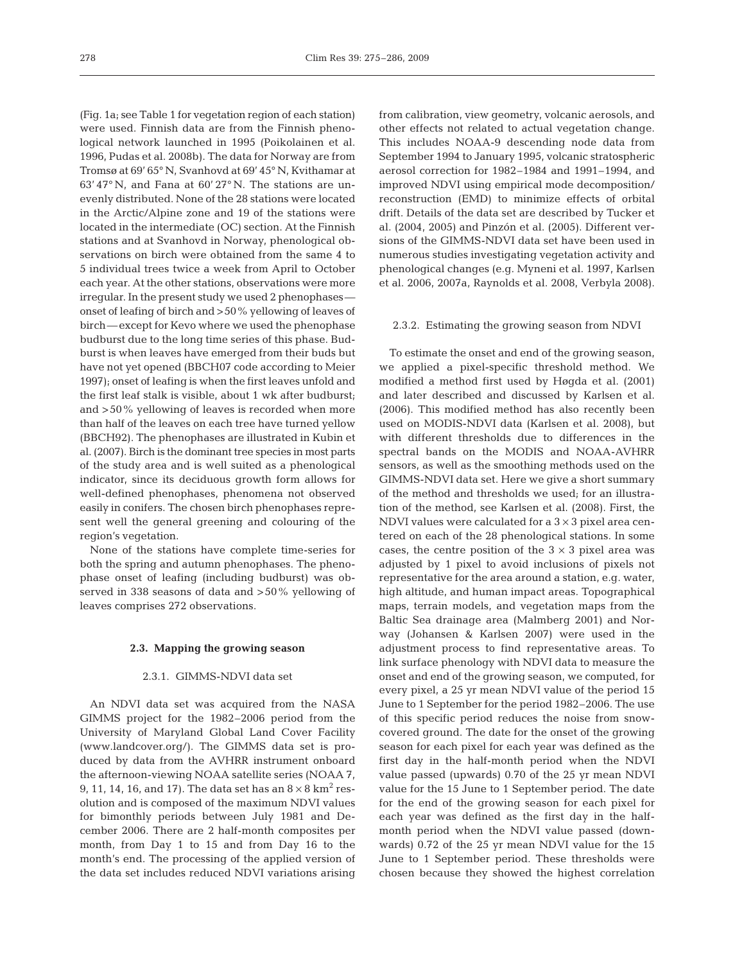(Fig. 1a; see Table 1 for vegetation region of each station) were used. Finnish data are from the Finnish phenological network launched in 1995 (Poikolainen et al. 1996, Pudas et al. 2008b). The data for Norway are from Tromsø at 69' 65° N, Svanhovd at 69' 45° N, Kvithamar at 63' 47° N, and Fana at 60' 27° N. The stations are unevenly distributed. None of the 28 stations were located in the Arctic/Alpine zone and 19 of the stations were located in the intermediate (OC) section. At the Finnish stations and at Svanhovd in Norway, phenological observations on birch were obtained from the same 4 to 5 individual trees twice a week from April to October each year. At the other stations, observations were more irregular. In the present study we used 2 phenophases onset of leafing of birch and >50% yellowing of leaves of birch—except for Kevo where we used the phenophase budburst due to the long time series of this phase. Budburst is when leaves have emerged from their buds but have not yet opened (BBCH07 code according to Meier 1997); onset of leafing is when the first leaves unfold and the first leaf stalk is visible, about 1 wk after budburst; and >50% yellowing of leaves is recorded when more than half of the leaves on each tree have turned yellow (BBCH92). The phenophases are illustrated in Kubin et al. (2007). Birch is the dominant tree species in most parts of the study area and is well suited as a phenological indicator, since its deciduous growth form allows for well-defined phenophases, phenomena not observed easily in conifers. The chosen birch phenophases represent well the general greening and colouring of the region's vegetation.

None of the stations have complete time-series for both the spring and autumn phenophases. The phenophase onset of leafing (including budburst) was observed in 338 seasons of data and >50% yellowing of leaves comprises 272 observations.

## **2.3. Mapping the growing season**

# 2.3.1. GIMMS-NDVI data set

An NDVI data set was acquired from the NASA GIMMS project for the 1982–2006 period from the University of Maryland Global Land Cover Facility (www.landcover.org/). The GIMMS data set is produced by data from the AVHRR instrument onboard the afternoon-viewing NOAA satellite series (NOAA 7, 9, 11, 14, 16, and 17). The data set has an  $8 \times 8 \text{ km}^2 \text{ res}$ olution and is composed of the maximum NDVI values for bimonthly periods between July 1981 and December 2006. There are 2 half-month composites per month, from Day 1 to 15 and from Day 16 to the month's end. The processing of the applied version of the data set includes reduced NDVI variations arising

from calibration, view geometry, volcanic aerosols, and other effects not related to actual vegetation change. This includes NOAA-9 descending node data from September 1994 to January 1995, volcanic stratospheric aerosol correction for 1982–1984 and 1991–1994, and improved NDVI using empirical mode decomposition/ reconstruction (EMD) to minimize effects of orbital drift. Details of the data set are described by Tucker et al. (2004, 2005) and Pinzón et al. (2005). Different versions of the GIMMS-NDVI data set have been used in numerous studies investigating vegetation activity and phenological changes (e.g. Myneni et al. 1997, Karlsen et al. 2006, 2007a, Raynolds et al. 2008, Verbyla 2008).

#### 2.3.2. Estimating the growing season from NDVI

To estimate the onset and end of the growing season, we applied a pixel-specific threshold method. We modified a method first used by Høgda et al. (2001) and later described and discussed by Karlsen et al. (2006). This modified method has also recently been used on MODIS-NDVI data (Karlsen et al. 2008), but with different thresholds due to differences in the spectral bands on the MODIS and NOAA-AVHRR sensors, as well as the smoothing methods used on the GIMMS-NDVI data set. Here we give a short summary of the method and thresholds we used; for an illustration of the method, see Karlsen et al. (2008). First, the NDVI values were calculated for a  $3 \times 3$  pixel area centered on each of the 28 phenological stations. In some cases, the centre position of the  $3 \times 3$  pixel area was adjusted by 1 pixel to avoid inclusions of pixels not representative for the area around a station, e.g. water, high altitude, and human impact areas. Topographical maps, terrain models, and vegetation maps from the Baltic Sea drainage area (Malmberg 2001) and Norway (Johansen & Karlsen 2007) were used in the adjustment process to find representative areas. To link surface phenology with NDVI data to measure the onset and end of the growing season, we computed, for every pixel, a 25 yr mean NDVI value of the period 15 June to 1 September for the period 1982–2006. The use of this specific period reduces the noise from snowcovered ground. The date for the onset of the growing season for each pixel for each year was defined as the first day in the half-month period when the NDVI value passed (upwards) 0.70 of the 25 yr mean NDVI value for the 15 June to 1 September period. The date for the end of the growing season for each pixel for each year was defined as the first day in the halfmonth period when the NDVI value passed (downwards) 0.72 of the 25 yr mean NDVI value for the 15 June to 1 September period. These thresholds were chosen because they showed the highest correlation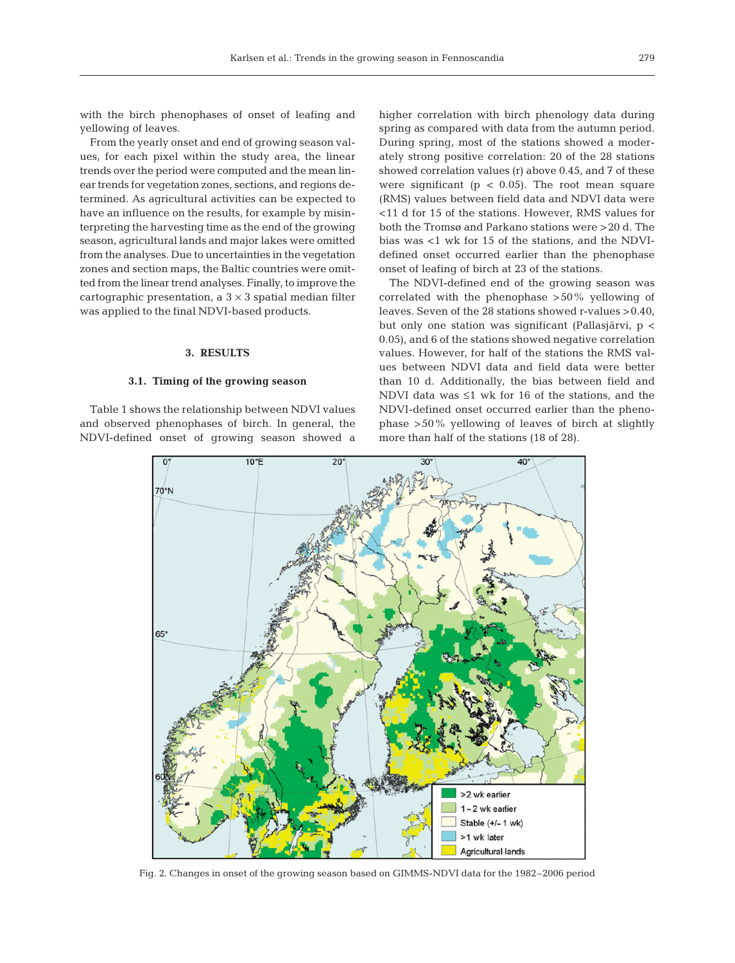with the birch phenophases of onset of leafing and yellowing of leaves.

From the yearly onset and end of growing season values, for each pixel within the study area, the linear trends over the period were computed and the mean linear trends for vegetation zones, sections, and regions determined. As agricultural activities can be expected to have an influence on the results, for example by misinterpreting the harvesting time as the end of the growing season, agricultural lands and major lakes were omitted from the analyses. Due to uncertainties in the vegetation zones and section maps, the Baltic countries were omitted from the linear trend analyses. Finally, to improve the cartographic presentation, a  $3 \times 3$  spatial median filter was applied to the final NDVI-based products.

## **3. RESULTS**

## **3.1. Timing of the growing season**

Table 1 shows the relationship between NDVI values and observed phenophases of birch. In general, the NDVI-defined onset of growing season showed a higher correlation with birch phenology data during spring as compared with data from the autumn period. During spring, most of the stations showed a moderately strong positive correlation: 20 of the 28 stations showed correlation values (r) above 0.45, and 7 of these were significant ( $p < 0.05$ ). The root mean square (RMS) values between field data and NDVI data were <11 d for 15 of the stations. However, RMS values for both the Tromsø and Parkano stations were >20 d. The bias was <1 wk for 15 of the stations, and the NDVIdefined onset occurred earlier than the phenophase onset of leafing of birch at 23 of the stations.

The NDVI-defined end of the growing season was correlated with the phenophase >50% yellowing of leaves. Seven of the 28 stations showed r-values >0.40, but only one station was significant (Pallasjärvi, p < 0.05), and 6 of the stations showed negative correlation values. However, for half of the stations the RMS values between NDVI data and field data were better than 10 d. Additionally, the bias between field and NDVI data was ≤1 wk for 16 of the stations, and the NDVI-defined onset occurred earlier than the phenophase >50% yellowing of leaves of birch at slightly more than half of the stations (18 of 28).



Fig. 2. Changes in onset of the growing season based on GIMMS-NDVI data for the 1982–2006 period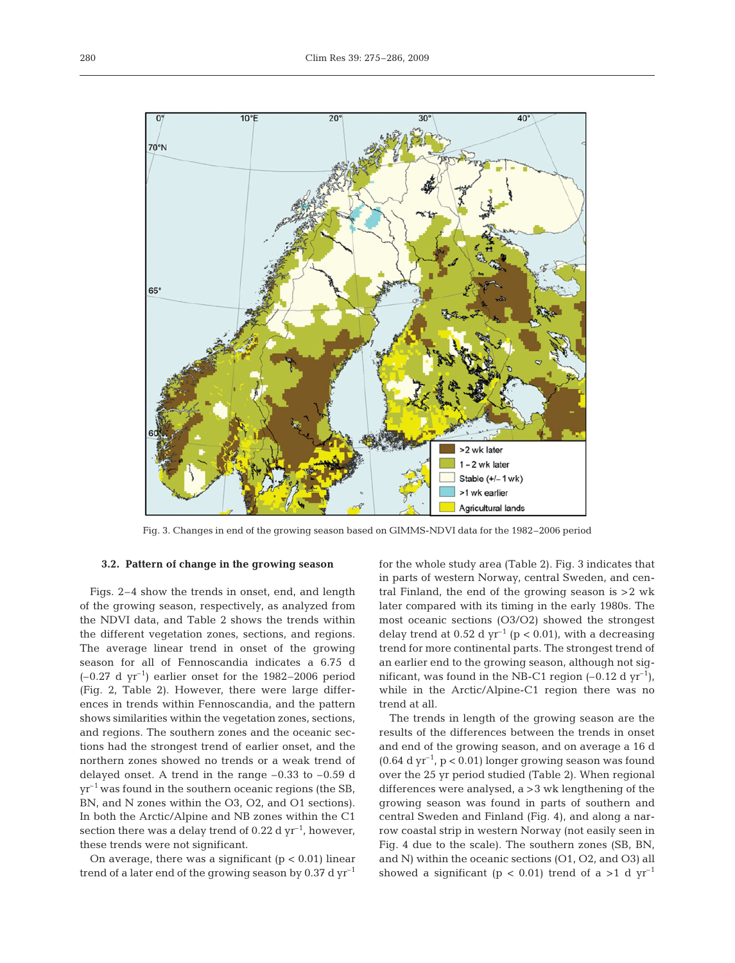

Fig. 3. Changes in end of the growing season based on GIMMS-NDVI data for the 1982–2006 period

## **3.2. Pattern of change in the growing season**

Figs. 2–4 show the trends in onset, end, and length of the growing season, respectively, as analyzed from the NDVI data, and Table 2 shows the trends within the different vegetation zones, sections, and regions. The average linear trend in onset of the growing season for all of Fennoscandia indicates a 6.75 d  $(-0.27 \text{ d yr}^{-1})$  earlier onset for the 1982–2006 period (Fig. 2, Table 2). However, there were large differences in trends within Fennoscandia, and the pattern shows similarities within the vegetation zones, sections, and regions. The southern zones and the oceanic sections had the strongest trend of earlier onset, and the northern zones showed no trends or a weak trend of delayed onset. A trend in the range  $-0.33$  to  $-0.59$  d  $yr^{-1}$  was found in the southern oceanic regions (the SB, BN, and N zones within the O3, O2, and O1 sections). In both the Arctic/Alpine and NB zones within the C1 section there was a delay trend of 0.22 d  $yr^{-1}$ , however, these trends were not significant.

On average, there was a significant  $(p < 0.01)$  linear trend of a later end of the growing season by  $0.37 \mathrm{~d~yr}^{-1}$  for the whole study area (Table 2). Fig. 3 indicates that in parts of western Norway, central Sweden, and central Finland, the end of the growing season is >2 wk later compared with its timing in the early 1980s. The most oceanic sections (O3/O2) showed the strongest delay trend at 0.52 d  $yr^{-1}$  (p < 0.01), with a decreasing trend for more continental parts. The strongest trend of an earlier end to the growing season, although not significant, was found in the NB-C1 region  $(-0.12 \text{ d yr}^{-1})$ , while in the Arctic/Alpine-C1 region there was no trend at all.

The trends in length of the growing season are the results of the differences between the trends in onset and end of the growing season, and on average a 16 d  $(0.64 \mathrm{d} \mathrm{yr}^{-1}$ ,  $p < 0.01$ ) longer growing season was found over the 25 yr period studied (Table 2). When regional differences were analysed, a >3 wk lengthening of the growing season was found in parts of southern and central Sweden and Finland (Fig. 4), and along a narrow coastal strip in western Norway (not easily seen in Fig. 4 due to the scale). The southern zones (SB, BN, and N) within the oceanic sections (O1, O2, and O3) all showed a significant ( $p < 0.01$ ) trend of a >1 d yr<sup>-1</sup>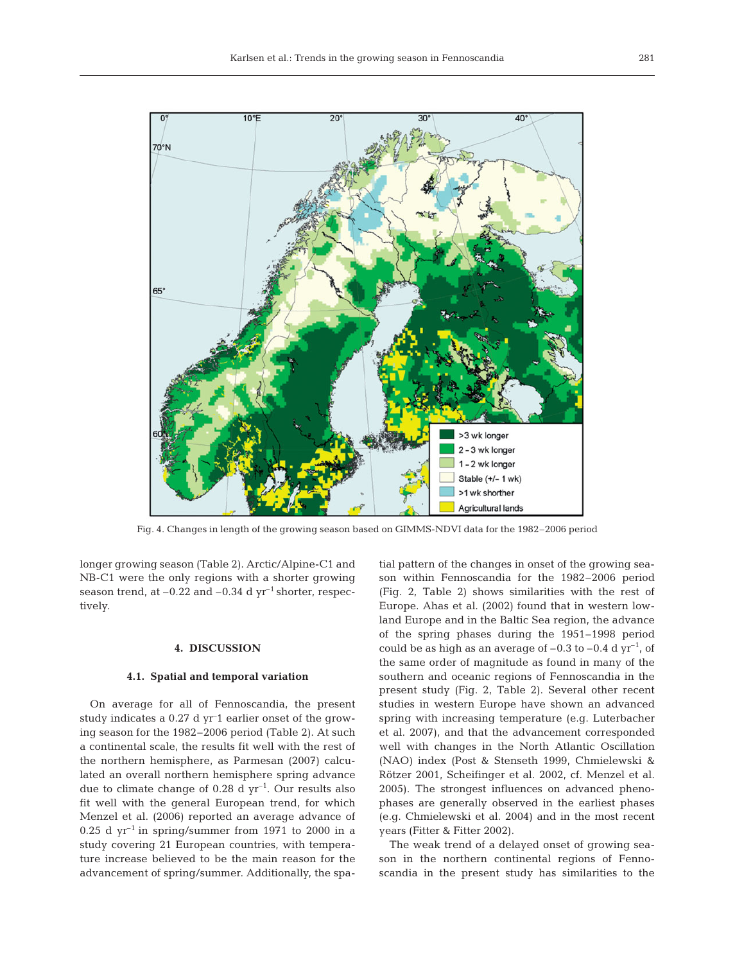

Fig. 4. Changes in length of the growing season based on GIMMS-NDVI data for the 1982–2006 period

longer growing season (Table 2). Arctic/Alpine-C1 and NB-C1 were the only regions with a shorter growing season trend, at  $-0.22$  and  $-0.34$  d yr<sup>-1</sup> shorter, respectively.

## **4. DISCUSSION**

# **4.1. Spatial and temporal variation**

On average for all of Fennoscandia, the present study indicates a 0.27 d yr– 1 earlier onset of the growing season for the 1982–2006 period (Table 2). At such a continental scale, the results fit well with the rest of the northern hemisphere, as Parmesan (2007) calculated an overall northern hemisphere spring advance due to climate change of  $0.28$  d yr<sup>-1</sup>. Our results also fit well with the general European trend, for which Menzel et al. (2006) reported an average advance of  $0.25$  d yr<sup>-1</sup> in spring/summer from 1971 to 2000 in a study covering 21 European countries, with temperature increase believed to be the main reason for the advancement of spring/summer. Additionally, the spa-

tial pattern of the changes in onset of the growing season within Fennoscandia for the 1982–2006 period (Fig. 2, Table 2) shows similarities with the rest of Europe. Ahas et al. (2002) found that in western lowland Europe and in the Baltic Sea region, the advance of the spring phases during the 1951–1998 period could be as high as an average of  $-0.3$  to  $-0.4$  d yr<sup>-1</sup>, of the same order of magnitude as found in many of the southern and oceanic regions of Fennoscandia in the present study (Fig. 2, Table 2). Several other recent studies in western Europe have shown an advanced spring with increasing temperature (e.g. Luterbacher et al. 2007), and that the advancement corresponded well with changes in the North Atlantic Oscillation (NAO) index (Post & Stenseth 1999, Chmielewski & Rötzer 2001, Scheifinger et al. 2002, cf. Menzel et al. 2005). The strongest influences on advanced phenophases are generally observed in the earliest phases (e.g. Chmielewski et al. 2004) and in the most recent years (Fitter & Fitter 2002).

The weak trend of a delayed onset of growing season in the northern continental regions of Fennoscandia in the present study has similarities to the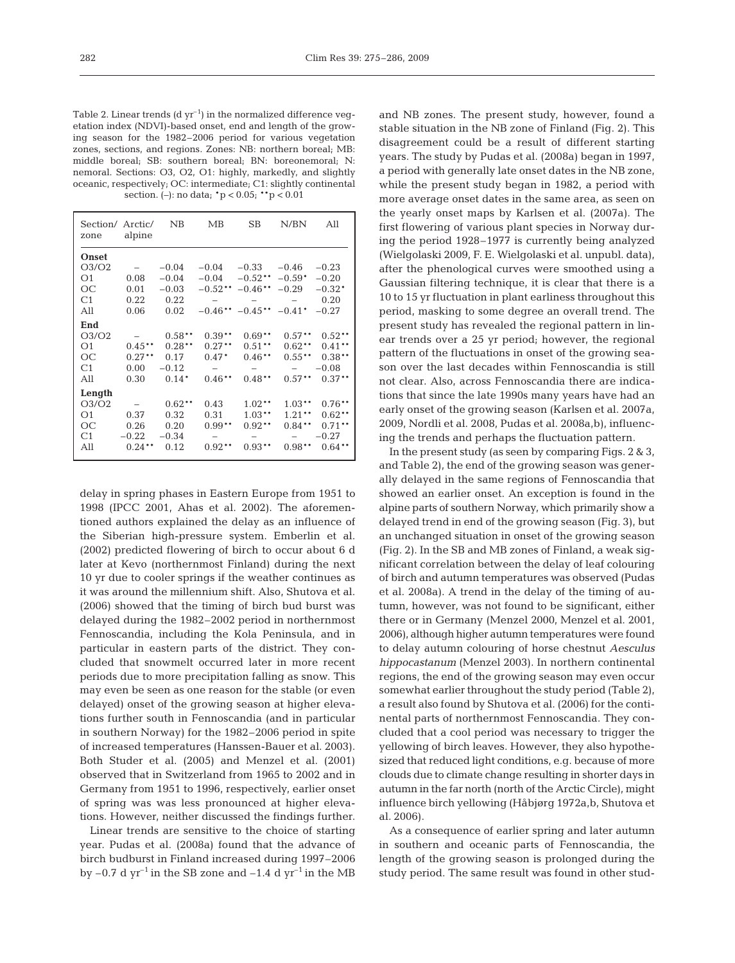Table 2. Linear trends  $(d yr^{-1})$  in the normalized difference vegetation index (NDVI)-based onset, end and length of the growing season for the 1982–2006 period for various vegetation zones, sections, and regions. Zones: NB: northern boreal; MB: middle boreal; SB: southern boreal; BN: boreonemoral; N: nemoral. Sections: O3, O2, O1: highly, markedly, and slightly oceanic, respectively; OC: intermediate; C1: slightly continental section. (–): no data; \*p < 0.05; \*\*p < 0.01

| Section/ Arctic/<br>zone       | alpine                   | <b>NB</b> | MB        | SB                            | N/BN                            | All       |
|--------------------------------|--------------------------|-----------|-----------|-------------------------------|---------------------------------|-----------|
| Onset                          |                          |           |           |                               |                                 |           |
| O <sub>3</sub> /O <sub>2</sub> |                          | $-0.04$   | $-0.04$   | $-0.33$                       | $-0.46$                         | $-0.23$   |
| O1                             | 0.08                     | $-0.04$   | $-0.04$   | $-0.52**$                     | $-0.59*$                        | $-0.20$   |
| ОC                             | 0.01                     | $-0.03$   |           | $-0.52$ ** $-0.46$ **         | $-0.29$                         | $-0.32*$  |
| C1                             | 0.22                     | 0.22      |           |                               |                                 | 0.20      |
| All                            | 0.06                     | 0.02      |           | $-0.46***$ $-0.45**$ $-0.41*$ |                                 | $-0.27$   |
| End                            |                          |           |           |                               |                                 |           |
| O <sub>3</sub> /O <sub>2</sub> |                          | $0.58**$  | $0.39**$  | $0.69**$                      | $0.57***$                       | $0.52**$  |
| O <sub>1</sub>                 | $0.45***$                | $0.28**$  | $0.27***$ | $0.51***$                     | $0.62**$                        | $0.41**$  |
| OC                             | $0.27***$                | 0.17      | $0.47*$   | $0.46***$                     | $0.55***$                       | $0.38**$  |
| C1                             | 0.00                     | $-0.12$   |           |                               | $\overline{\phantom{0}}$        | $-0.08$   |
| All                            | 0.30                     | $0.14*$   | $0.46***$ | $0.48**$                      | $0.57***$                       | $0.37***$ |
| Length                         |                          |           |           |                               |                                 |           |
| O <sub>3</sub> /O <sub>2</sub> | $\overline{\phantom{a}}$ | $0.62***$ | 0.43      | $1.02***$                     | $1.03***$                       | $0.76**$  |
| O <sub>1</sub>                 | 0.37                     | 0.32      | 0.31      | $1.03***$                     | $1.21***$                       | $0.62**$  |
| ОC                             | 0.26                     | 0.20      | $0.99**$  | $0.92**$                      | $0.84***$                       | $0.71***$ |
| C1                             | $-0.22$                  | $-0.34$   | -         |                               | $\hspace{0.1mm}-\hspace{0.1mm}$ | $-0.27$   |
| All                            | $0.24***$                | 0.12      | $0.92**$  | $0.93**$                      | $0.98**$                        | $0.64**$  |
|                                |                          |           |           |                               |                                 |           |

delay in spring phases in Eastern Europe from 1951 to 1998 (IPCC 2001, Ahas et al. 2002). The aforementioned authors explained the delay as an influence of the Siberian high-pressure system. Emberlin et al. (2002) predicted flowering of birch to occur about 6 d later at Kevo (northernmost Finland) during the next 10 yr due to cooler springs if the weather continues as it was around the millennium shift. Also, Shutova et al. (2006) showed that the timing of birch bud burst was delayed during the 1982–2002 period in northernmost Fennoscandia, including the Kola Peninsula, and in particular in eastern parts of the district. They concluded that snowmelt occurred later in more recent periods due to more precipitation falling as snow. This may even be seen as one reason for the stable (or even delayed) onset of the growing season at higher elevations further south in Fennoscandia (and in particular in southern Norway) for the 1982–2006 period in spite of increased temperatures (Hanssen-Bauer et al. 2003). Both Studer et al. (2005) and Menzel et al. (2001) observed that in Switzerland from 1965 to 2002 and in Germany from 1951 to 1996, respectively, earlier onset of spring was was less pronounced at higher elevations. However, neither discussed the findings further.

Linear trends are sensitive to the choice of starting year. Pudas et al. (2008a) found that the advance of birch budburst in Finland increased during 1997–2006 by  $-0.7$  d yr<sup>-1</sup> in the SB zone and  $-1.4$  d yr<sup>-1</sup> in the MB

and NB zones. The present study, however, found a stable situation in the NB zone of Finland (Fig. 2). This disagreement could be a result of different starting years. The study by Pudas et al. (2008a) began in 1997, a period with generally late onset dates in the NB zone, while the present study began in 1982, a period with more average onset dates in the same area, as seen on the yearly onset maps by Karlsen et al. (2007a). The first flowering of various plant species in Norway during the period 1928–1977 is currently being analyzed (Wielgolaski 2009, F. E. Wielgolaski et al. unpubl. data), after the phenological curves were smoothed using a Gaussian filtering technique, it is clear that there is a 10 to 15 yr fluctuation in plant earliness throughout this period, masking to some degree an overall trend. The present study has revealed the regional pattern in linear trends over a 25 yr period; however, the regional pattern of the fluctuations in onset of the growing season over the last decades within Fennoscandia is still not clear. Also, across Fennoscandia there are indications that since the late 1990s many years have had an early onset of the growing season (Karlsen et al. 2007a, 2009, Nordli et al. 2008, Pudas et al. 2008a,b), influencing the trends and perhaps the fluctuation pattern.

In the present study (as seen by comparing Figs. 2 & 3, and Table 2), the end of the growing season was generally delayed in the same regions of Fennoscandia that showed an earlier onset. An exception is found in the alpine parts of southern Norway, which primarily show a delayed trend in end of the growing season (Fig. 3), but an unchanged situation in onset of the growing season (Fig. 2). In the SB and MB zones of Finland, a weak significant correlation between the delay of leaf colouring of birch and autumn temperatures was observed (Pudas et al. 2008a). A trend in the delay of the timing of autumn, however, was not found to be significant, either there or in Germany (Menzel 2000, Menzel et al. 2001, 2006), although higher autumn temperatures were found to delay autumn colouring of horse chestnut *Aesculus hippocastanum* (Menzel 2003). In northern continental regions, the end of the growing season may even occur somewhat earlier throughout the study period (Table 2), a result also found by Shutova et al. (2006) for the continental parts of northernmost Fennoscandia. They concluded that a cool period was necessary to trigger the yellowing of birch leaves. However, they also hypothesized that reduced light conditions, e.g. because of more clouds due to climate change resulting in shorter days in autumn in the far north (north of the Arctic Circle), might influence birch yellowing (Håbjørg 1972a,b, Shutova et al. 2006).

As a consequence of earlier spring and later autumn in southern and oceanic parts of Fennoscandia, the length of the growing season is prolonged during the study period. The same result was found in other stud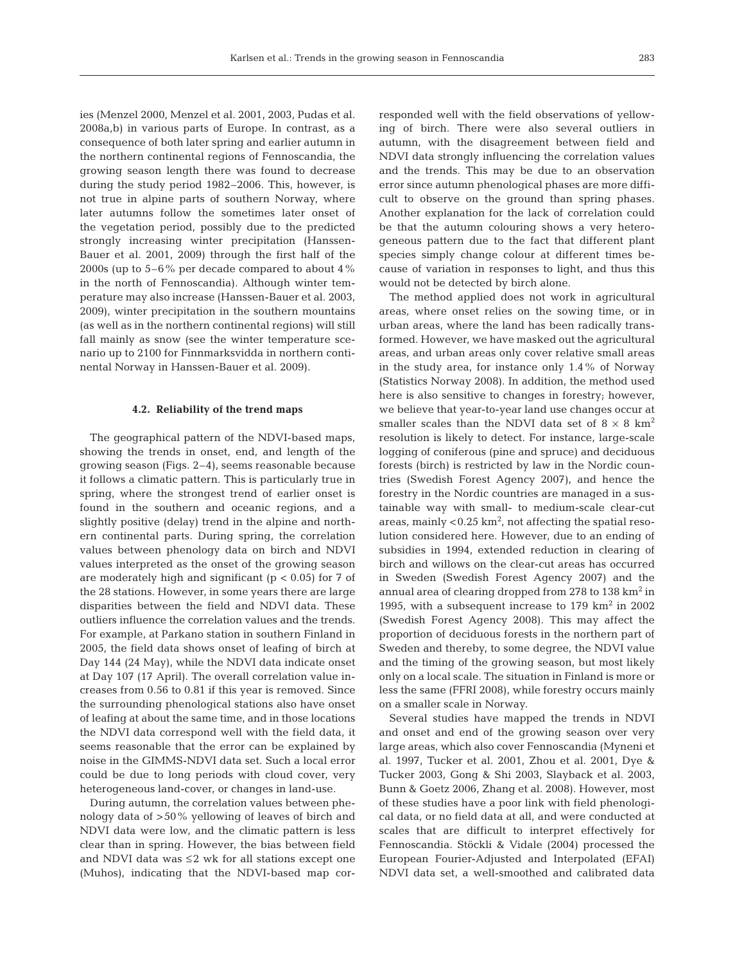ies (Menzel 2000, Menzel et al. 2001, 2003, Pudas et al. 2008a,b) in various parts of Europe. In contrast, as a consequence of both later spring and earlier autumn in the northern continental regions of Fennoscandia, the growing season length there was found to decrease during the study period 1982–2006. This, however, is not true in alpine parts of southern Norway, where later autumns follow the sometimes later onset of the vegetation period, possibly due to the predicted strongly increasing winter precipitation (Hanssen-Bauer et al. 2001, 2009) through the first half of the 2000s (up to 5–6% per decade compared to about 4% in the north of Fennoscandia). Although winter temperature may also increase (Hanssen-Bauer et al. 2003, 2009), winter precipitation in the southern mountains (as well as in the northern continental regions) will still fall mainly as snow (see the winter temperature scenario up to 2100 for Finnmarksvidda in northern continental Norway in Hanssen-Bauer et al. 2009).

## **4.2. Reliability of the trend maps**

The geographical pattern of the NDVI-based maps, showing the trends in onset, end, and length of the growing season (Figs. 2–4), seems reasonable because it follows a climatic pattern. This is particularly true in spring, where the strongest trend of earlier onset is found in the southern and oceanic regions, and a slightly positive (delay) trend in the alpine and northern continental parts. During spring, the correlation values between phenology data on birch and NDVI values interpreted as the onset of the growing season are moderately high and significant ( $p < 0.05$ ) for 7 of the 28 stations. However, in some years there are large disparities between the field and NDVI data. These outliers influence the correlation values and the trends. For example, at Parkano station in southern Finland in 2005, the field data shows onset of leafing of birch at Day 144 (24 May), while the NDVI data indicate onset at Day 107 (17 April). The overall correlation value increases from 0.56 to 0.81 if this year is removed. Since the surrounding phenological stations also have onset of leafing at about the same time, and in those locations the NDVI data correspond well with the field data, it seems reasonable that the error can be explained by noise in the GIMMS-NDVI data set. Such a local error could be due to long periods with cloud cover, very heterogeneous land-cover, or changes in land-use.

During autumn, the correlation values between phenology data of >50% yellowing of leaves of birch and NDVI data were low, and the climatic pattern is less clear than in spring. However, the bias between field and NDVI data was ≤2 wk for all stations except one (Muhos), indicating that the NDVI-based map corresponded well with the field observations of yellowing of birch. There were also several outliers in autumn, with the disagreement between field and NDVI data strongly influencing the correlation values and the trends. This may be due to an observation error since autumn phenological phases are more difficult to observe on the ground than spring phases. Another explanation for the lack of correlation could be that the autumn colouring shows a very heterogeneous pattern due to the fact that different plant species simply change colour at different times because of variation in responses to light, and thus this would not be detected by birch alone.

The method applied does not work in agricultural areas, where onset relies on the sowing time, or in urban areas, where the land has been radically transformed. However, we have masked out the agricultural areas, and urban areas only cover relative small areas in the study area, for instance only 1.4% of Norway (Statistics Norway 2008). In addition, the method used here is also sensitive to changes in forestry; however, we believe that year-to-year land use changes occur at smaller scales than the NDVI data set of  $8 \times 8$  km<sup>2</sup> resolution is likely to detect. For instance, large-scale logging of coniferous (pine and spruce) and deciduous forests (birch) is restricted by law in the Nordic countries (Swedish Forest Agency 2007), and hence the forestry in the Nordic countries are managed in a sustainable way with small- to medium-scale clear-cut areas, mainly  $< 0.25$  km<sup>2</sup>, not affecting the spatial resolution considered here. However, due to an ending of subsidies in 1994, extended reduction in clearing of birch and willows on the clear-cut areas has occurred in Sweden (Swedish Forest Agency 2007) and the annual area of clearing dropped from 278 to 138 km<sup>2</sup> in 1995, with a subsequent increase to  $179 \text{ km}^2$  in  $2002$ (Swedish Forest Agency 2008). This may affect the proportion of deciduous forests in the northern part of Sweden and thereby, to some degree, the NDVI value and the timing of the growing season, but most likely only on a local scale. The situation in Finland is more or less the same (FFRI 2008), while forestry occurs mainly on a smaller scale in Norway.

Several studies have mapped the trends in NDVI and onset and end of the growing season over very large areas, which also cover Fennoscandia (Myneni et al. 1997, Tucker et al. 2001, Zhou et al. 2001, Dye & Tucker 2003, Gong & Shi 2003, Slayback et al. 2003, Bunn & Goetz 2006, Zhang et al. 2008). However, most of these studies have a poor link with field phenological data, or no field data at all, and were conducted at scales that are difficult to interpret effectively for Fennoscandia. Stöckli & Vidale (2004) processed the European Fourier-Adjusted and Interpolated (EFAI) NDVI data set, a well-smoothed and calibrated data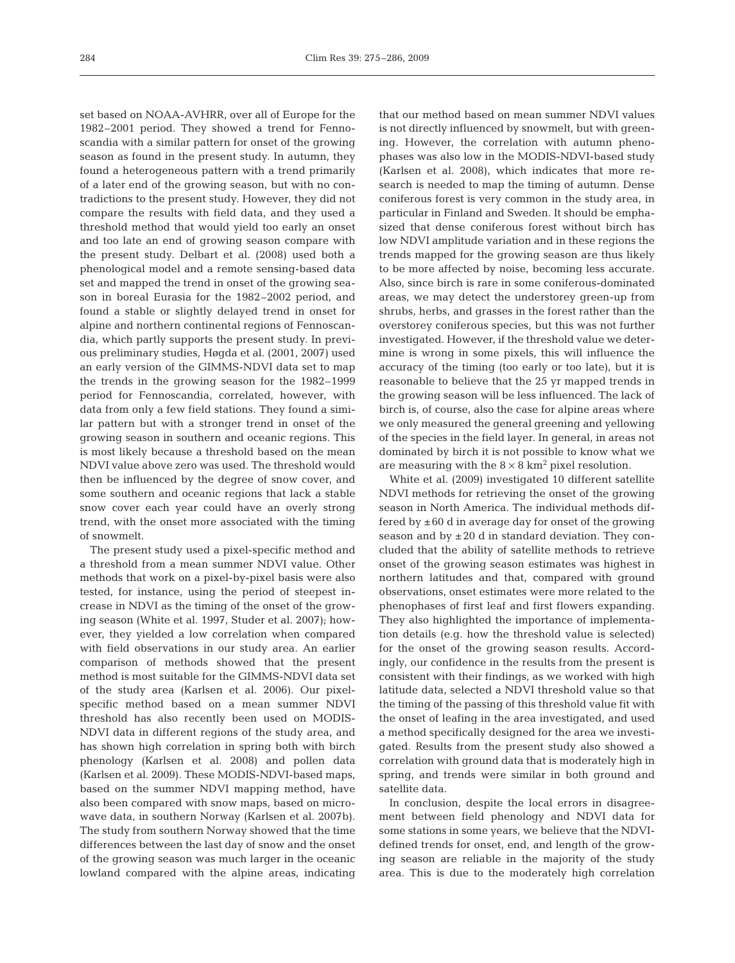set based on NOAA-AVHRR, over all of Europe for the 1982–2001 period. They showed a trend for Fennoscandia with a similar pattern for onset of the growing season as found in the present study. In autumn, they found a heterogeneous pattern with a trend primarily of a later end of the growing season, but with no contradictions to the present study. However, they did not compare the results with field data, and they used a threshold method that would yield too early an onset and too late an end of growing season compare with the present study. Delbart et al. (2008) used both a phenological model and a remote sensing-based data set and mapped the trend in onset of the growing season in boreal Eurasia for the 1982–2002 period, and found a stable or slightly delayed trend in onset for alpine and northern continental regions of Fennoscandia, which partly supports the present study. In previous preliminary studies, Høgda et al. (2001, 2007) used an early version of the GIMMS-NDVI data set to map the trends in the growing season for the 1982–1999 period for Fennoscandia, correlated, however, with data from only a few field stations. They found a similar pattern but with a stronger trend in onset of the growing season in southern and oceanic regions. This is most likely because a threshold based on the mean NDVI value above zero was used. The threshold would then be influenced by the degree of snow cover, and some southern and oceanic regions that lack a stable snow cover each year could have an overly strong trend, with the onset more associated with the timing of snowmelt.

The present study used a pixel-specific method and a threshold from a mean summer NDVI value. Other methods that work on a pixel-by-pixel basis were also tested, for instance, using the period of steepest increase in NDVI as the timing of the onset of the growing season (White et al. 1997, Studer et al. 2007); however, they yielded a low correlation when compared with field observations in our study area. An earlier comparison of methods showed that the present method is most suitable for the GIMMS-NDVI data set of the study area (Karlsen et al. 2006). Our pixelspecific method based on a mean summer NDVI threshold has also recently been used on MODIS-NDVI data in different regions of the study area, and has shown high correlation in spring both with birch phenology (Karlsen et al. 2008) and pollen data (Karlsen et al. 2009). These MODIS-NDVI-based maps, based on the summer NDVI mapping method, have also been compared with snow maps, based on microwave data, in southern Norway (Karlsen et al. 2007b). The study from southern Norway showed that the time differences between the last day of snow and the onset of the growing season was much larger in the oceanic lowland compared with the alpine areas, indicating that our method based on mean summer NDVI values is not directly influenced by snowmelt, but with greening. However, the correlation with autumn phenophases was also low in the MODIS-NDVI-based study (Karlsen et al. 2008), which indicates that more research is needed to map the timing of autumn. Dense coniferous forest is very common in the study area, in particular in Finland and Sweden. It should be emphasized that dense coniferous forest without birch has low NDVI amplitude variation and in these regions the trends mapped for the growing season are thus likely to be more affected by noise, becoming less accurate. Also, since birch is rare in some coniferous-dominated areas, we may detect the understorey green-up from shrubs, herbs, and grasses in the forest rather than the overstorey coniferous species, but this was not further investigated. However, if the threshold value we determine is wrong in some pixels, this will influence the accuracy of the timing (too early or too late), but it is reasonable to believe that the 25 yr mapped trends in the growing season will be less influenced. The lack of birch is, of course, also the case for alpine areas where we only measured the general greening and yellowing of the species in the field layer. In general, in areas not dominated by birch it is not possible to know what we are measuring with the  $8 \times 8$  km<sup>2</sup> pixel resolution.

White et al. (2009) investigated 10 different satellite NDVI methods for retrieving the onset of the growing season in North America. The individual methods differed by  $\pm 60$  d in average day for onset of the growing season and by  $\pm 20$  d in standard deviation. They concluded that the ability of satellite methods to retrieve onset of the growing season estimates was highest in northern latitudes and that, compared with ground observations, onset estimates were more related to the phenophases of first leaf and first flowers expanding. They also highlighted the importance of implementation details (e.g. how the threshold value is selected) for the onset of the growing season results. Accordingly, our confidence in the results from the present is consistent with their findings, as we worked with high latitude data, selected a NDVI threshold value so that the timing of the passing of this threshold value fit with the onset of leafing in the area investigated, and used a method specifically designed for the area we investigated. Results from the present study also showed a correlation with ground data that is moderately high in spring, and trends were similar in both ground and satellite data.

In conclusion, despite the local errors in disagreement between field phenology and NDVI data for some stations in some years, we believe that the NDVIdefined trends for onset, end, and length of the growing season are reliable in the majority of the study area. This is due to the moderately high correlation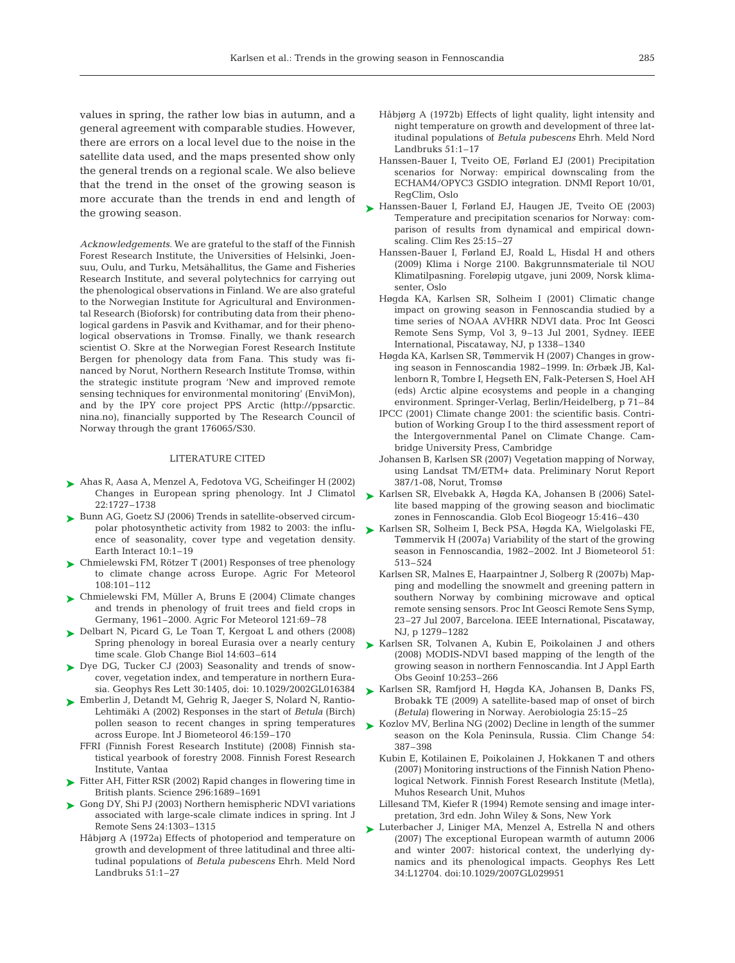values in spring, the rather low bias in autumn, and a general agreement with comparable studies. However, there are errors on a local level due to the noise in the satellite data used, and the maps presented show only the general trends on a regional scale. We also believe that the trend in the onset of the growing season is more accurate than the trends in end and length of the growing season.

*Acknowledgements.* We are grateful to the staff of the Finnish Forest Research Institute, the Universities of Helsinki, Joensuu, Oulu, and Turku, Metsähallitus, the Game and Fisheries Research Institute, and several polytechnics for carrying out the phenological observations in Finland. We are also grateful to the Norwegian Institute for Agricultural and Environmental Research (Bioforsk) for contributing data from their phenological gardens in Pasvik and Kvithamar, and for their phenological observations in Tromsø. Finally, we thank research scientist O. Skre at the Norwegian Forest Research Institute Bergen for phenology data from Fana. This study was financed by Norut, Northern Research Institute Tromsø, within the strategic institute program 'New and improved remote sensing techniques for environmental monitoring' (EnviMon), and by the IPY core project PPS Arctic (http://ppsarctic. nina.no), financially supported by The Research Council of Norway through the grant 176065/S30.

### LITERATURE CITED

- Ahas R, Aasa A, Menzel A, Fedotova VG, Scheifinger H (2002) ➤ Changes in European spring phenology. Int J Climatol 22:1727–1738
- ► Bunn AG, Goetz SJ (2006) Trends in satellite-observed circumpolar photosynthetic activity from 1982 to 2003: the influence of seasonality, cover type and vegetation density. Earth Interact 10:1–19
- Chmielewski FM, Rötzer T (2001) Responses of tree phenology ➤ to climate change across Europe. Agric For Meteorol 108:101–112
- ► Chmielewski FM, Müller A, Bruns E (2004) Climate changes and trends in phenology of fruit trees and field crops in Germany, 1961–2000. Agric For Meteorol 121:69–78
- Delbart N, Picard G, Le Toan T, Kergoat L and others (2008) ➤ Spring phenology in boreal Eurasia over a nearly century time scale. Glob Change Biol 14:603–614
- ► Dye DG, Tucker CJ (2003) Seasonality and trends of snowcover, vegetation index, and temperature in northern Eurasia. Geophys Res Lett 30:1405, doi: 10.1029/2002GL016384
- ► Emberlin J, Detandt M, Gehrig R, Jaeger S, Nolard N, Rantio-Lehtimäki A (2002) Responses in the start of *Betula* (Birch) pollen season to recent changes in spring temperatures across Europe. Int J Biometeorol 46:159–170
	- FFRI (Finnish Forest Research Institute) (2008) Finnish statistical yearbook of forestry 2008. Finnish Forest Research Institute, Vantaa
- ► Fitter AH, Fitter RSR (2002) Rapid changes in flowering time in British plants. Science 296:1689–1691
- ► Gong DY, Shi PJ (2003) Northern hemispheric NDVI variations associated with large-scale climate indices in spring. Int J Remote Sens 24:1303–1315
	- Håbjørg A (1972a) Effects of photoperiod and temperature on growth and development of three latitudinal and three altitudinal populations of *Betula pubescens* Ehrh. Meld Nord Landbruks 51:1–27
- Håbjørg A (1972b) Effects of light quality, light intensity and night temperature on growth and development of three latitudinal populations of *Betula pubescens* Ehrh. Meld Nord Landbruks 51:1–17
- Hanssen-Bauer I, Tveito OE, Førland EJ (2001) Precipitation scenarios for Norway: empirical downscaling from the ECHAM4/OPYC3 GSDIO integration. DNMI Report 10/01, RegClim, Oslo
- ► Hanssen-Bauer I, Førland EJ, Haugen JE, Tveito OE (2003) Temperature and precipitation scenarios for Norway: comparison of results from dynamical and empirical downscaling. Clim Res 25:15–27
	- Hanssen-Bauer I, Førland EJ, Roald L, Hisdal H and others (2009) Klima i Norge 2100. Bakgrunnsmateriale til NOU Klimatilpasning. Foreløpig utgave, juni 2009, Norsk klimasenter, Oslo
	- Høgda KA, Karlsen SR, Solheim I (2001) Climatic change impact on growing season in Fennoscandia studied by a time series of NOAA AVHRR NDVI data. Proc Int Geosci Remote Sens Symp, Vol 3, 9–13 Jul 2001, Sydney. IEEE International, Piscataway, NJ, p 1338–1340
	- Høgda KA, Karlsen SR, Tømmervik H (2007) Changes in growing season in Fennoscandia 1982–1999. In: Ørbæk JB, Kallenborn R, Tombre I, Hegseth EN, Falk-Petersen S, Hoel AH (eds) Arctic alpine ecosystems and people in a changing environment. Springer-Verlag, Berlin/Heidelberg, p 71–84
	- IPCC (2001) Climate change 2001: the scientific basis. Contribution of Working Group I to the third assessment report of the Intergovernmental Panel on Climate Change. Cambridge University Press, Cambridge
	- Johansen B, Karlsen SR (2007) Vegetation mapping of Norway, using Landsat TM/ETM+ data. Preliminary Norut Report 387/1-08, Norut, Tromsø
- ► Karlsen SR, Elvebakk A, Høgda KA, Johansen B (2006) Satellite based mapping of the growing season and bioclimatic zones in Fennoscandia. Glob Ecol Biogeogr 15:416–430
- ► Karlsen SR, Solheim I, Beck PSA, Høgda KA, Wielgolaski FE, Tømmervik H (2007a) Variability of the start of the growing season in Fennoscandia, 1982–2002. Int J Biometeorol 51: 513–524
	- Karlsen SR, Malnes E, Haarpaintner J, Solberg R (2007b) Mapping and modelling the snowmelt and greening pattern in southern Norway by combining microwave and optical remote sensing sensors. Proc Int Geosci Remote Sens Symp, 23–27 Jul 2007, Barcelona. IEEE International, Piscataway, NJ, p 1279–1282
- ► Karlsen SR, Tolvanen A, Kubin E, Poikolainen J and others (2008) MODIS-NDVI based mapping of the length of the growing season in northern Fennoscandia. Int J Appl Earth Obs Geoinf 10:253–266
- ► Karlsen SR, Ramfjord H, Høgda KA, Johansen B, Danks FS, Brobakk TE (2009) A satellite-based map of onset of birch (*Betula*) flowering in Norway. Aerobiologia 25:15–25
- ► Kozlov MV, Berlina NG (2002) Decline in length of the summer season on the Kola Peninsula, Russia. Clim Change 54: 387–398
	- Kubin E, Kotilainen E, Poikolainen J, Hokkanen T and others (2007) Monitoring instructions of the Finnish Nation Phenological Network. Finnish Forest Research Institute (Metla), Muhos Research Unit, Muhos
	- Lillesand TM, Kiefer R (1994) Remote sensing and image interpretation, 3rd edn. John Wiley & Sons, New York
- ► Luterbacher J, Liniger MA, Menzel A, Estrella N and others (2007) The exceptional European warmth of autumn 2006 and winter 2007: historical context, the underlying dynamics and its phenological impacts. Geophys Res Lett 34:L12704. doi:10.1029/2007GL029951